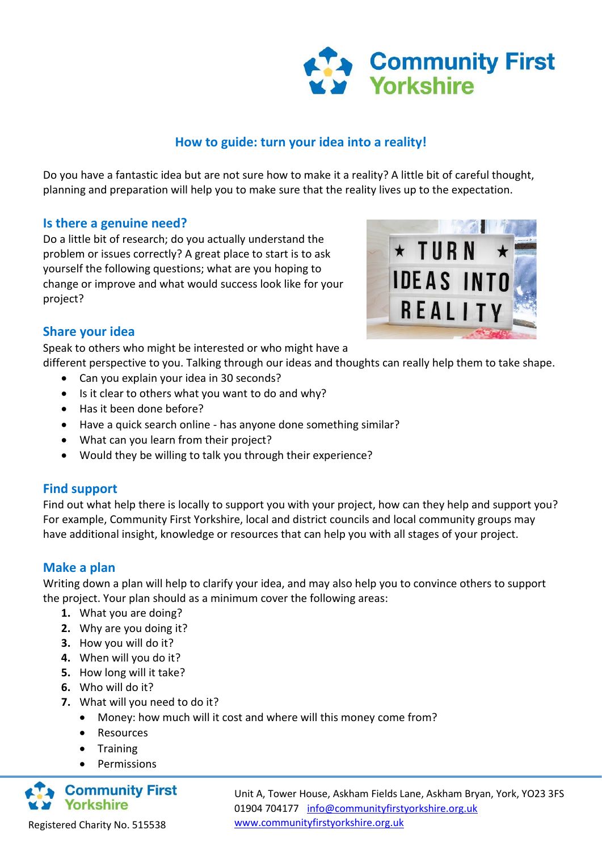

### **How to guide: turn your idea into a reality!**

Do you have a fantastic idea but are not sure how to make it a reality? A little bit of careful thought, planning and preparation will help you to make sure that the reality lives up to the expectation.

#### **Is there a genuine need?**

Do a little bit of research; do you actually understand the problem or issues correctly? A great place to start is to ask yourself the following questions; what are you hoping to change or improve and what would success look like for your project?



#### **Share your idea**

Speak to others who might be interested or who might have a

different perspective to you. Talking through our ideas and thoughts can really help them to take shape.

- Can you explain your idea in 30 seconds?
- Is it clear to others what you want to do and why?
- Has it been done before?
- Have a quick search online has anyone done something similar?
- What can you learn from their project?
- Would they be willing to talk you through their experience?

#### **Find support**

Find out what help there is locally to support you with your project, how can they help and support you? For example, Community First Yorkshire, local and district councils and local community groups may have additional insight, knowledge or resources that can help you with all stages of your project.

#### **Make a plan**

Writing down a plan will help to clarify your idea, and may also help you to convince others to support the project. Your plan should as a minimum cover the following areas:

- **1.** What you are doing?
- **2.** Why are you doing it?
- **3.** How you will do it?
- **4.** When will you do it?
- **5.** How long will it take?
- **6.** Who will do it?
- **7.** What will you need to do it?
	- Money: how much will it cost and where will this money come from?
	- Resources
	- Training
	- Permissions



Unit A, Tower House, Askham Fields Lane, Askham Bryan, York, YO23 3FS 01904 704177 [info@communityfirstyorkshire.org.uk](mailto:info@communityfirstyorkshire.org.uk) [www.communityfirstyorkshire.org.uk](http://www.communityfirstyorkshire.org.uk/)

Registered Charity No. 515538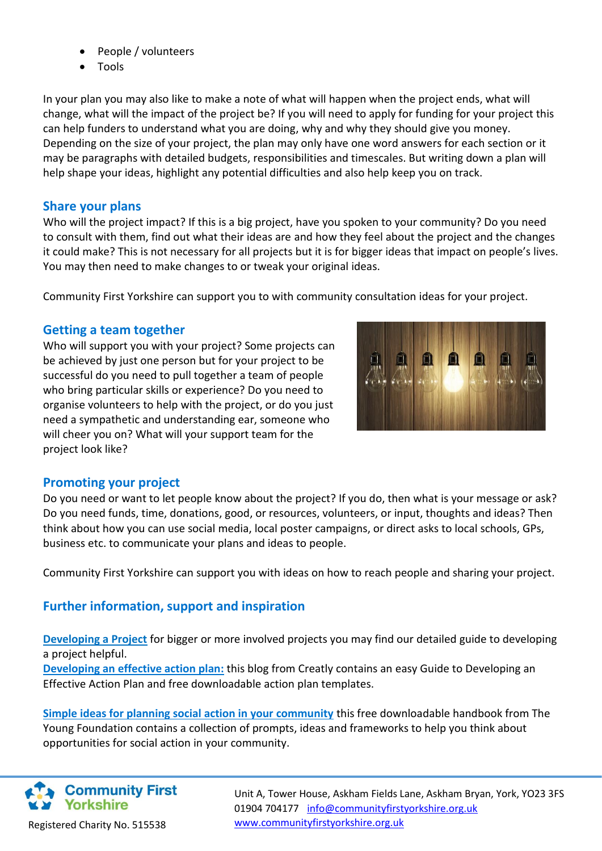- People / volunteers
- Tools

In your plan you may also like to make a note of what will happen when the project ends, what will change, what will the impact of the project be? If you will need to apply for funding for your project this can help funders to understand what you are doing, why and why they should give you money. Depending on the size of your project, the plan may only have one word answers for each section or it may be paragraphs with detailed budgets, responsibilities and timescales. But writing down a plan will help shape your ideas, highlight any potential difficulties and also help keep you on track.

### **Share your plans**

Who will the project impact? If this is a big project, have you spoken to your community? Do you need to consult with them, find out what their ideas are and how they feel about the project and the changes it could make? This is not necessary for all projects but it is for bigger ideas that impact on people's lives. You may then need to make changes to or tweak your original ideas.

Community First Yorkshire can support you to with community consultation ideas for your project.

### **Getting a team together**

Who will support you with your project? Some projects can be achieved by just one person but for your project to be successful do you need to pull together a team of people who bring particular skills or experience? Do you need to organise volunteers to help with the project, or do you just need a sympathetic and understanding ear, someone who will cheer you on? What will your support team for the project look like?



# **Promoting your project**

Do you need or want to let people know about the project? If you do, then what is your message or ask? Do you need funds, time, donations, good, or resources, volunteers, or input, thoughts and ideas? Then think about how you can use social media, local poster campaigns, or direct asks to local schools, GPs, business etc. to communicate your plans and ideas to people.

Community First Yorkshire can support you with ideas on how to reach people and sharing your project.

# **Further information, support and inspiration**

**[Developing a Project](http://communitysupportny.org.uk.temp.link/wp-content/uploads/2021/12/Developing-a-project.pdf)** for bigger or more involved projects you may find our detailed guide to developing a project helpful.

**[Developing an effective action plan:](https://creately.com/blog/diagrams/how-to-write-an-action-plan/)** this blog from Creatly contains an easy Guide to Developing an Effective Action Plan and free downloadable action plan templates.

**[Simple ideas for planning social action in your community](https://www.youngfoundation.org/publications/join-conversation-collection-simple-ideas-planning-social-action-community/)** this free downloadable handbook from The Young Foundation contains a collection of prompts, ideas and frameworks to help you think about opportunities for social action in your community.